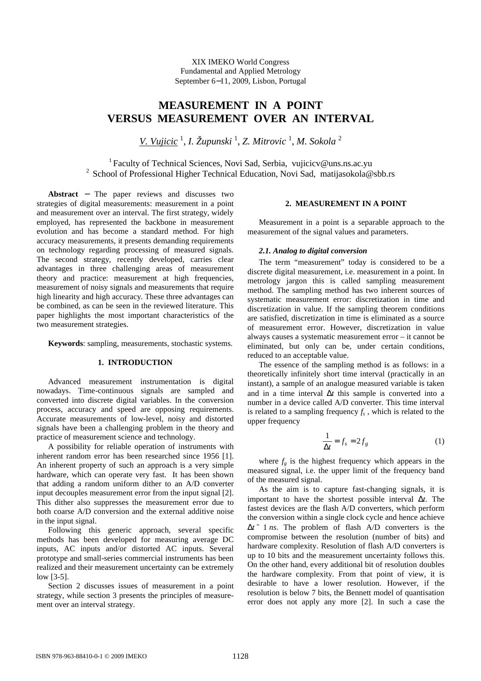XIX IMEKO World Congress Fundamental and Applied Metrology September 6−11, 2009, Lisbon, Portugal

# **MEASUREMENT IN A POINT VERSUS MEASUREMENT OVER AN INTERVAL**

*V. Vujicic* <sup>1</sup> , *I. Župunski* <sup>1</sup> , *Z. Mitrovic* 1 , *M. Sokola* <sup>2</sup>

<sup>1</sup> Faculty of Technical Sciences, Novi Sad, Serbia, vujicicv@uns.ns.ac.yu <sup>2</sup> School of Professional Higher Technical Education, Novi Sad, matijasokola@sbb.rs

**Abstract** − The paper reviews and discusses two strategies of digital measurements: measurement in a point and measurement over an interval. The first strategy, widely employed, has represented the backbone in measurement evolution and has become a standard method. For high accuracy measurements, it presents demanding requirements on technology regarding processing of measured signals. The second strategy, recently developed, carries clear advantages in three challenging areas of measurement theory and practice: measurement at high frequencies, measurement of noisy signals and measurements that require high linearity and high accuracy. These three advantages can be combined, as can be seen in the reviewed literature. This paper highlights the most important characteristics of the two measurement strategies.

**Keywords**: sampling, measurements, stochastic systems.

# **1. INTRODUCTION**

Advanced measurement instrumentation is digital nowadays. Time-continuous signals are sampled and converted into discrete digital variables. In the conversion process, accuracy and speed are opposing requirements. Accurate measurements of low-level, noisy and distorted signals have been a challenging problem in the theory and practice of measurement science and technology.

A possibility for reliable operation of instruments with inherent random error has been researched since 1956 [1]. An inherent property of such an approach is a very simple hardware, which can operate very fast. It has been shown that adding a random uniform dither to an A/D converter input decouples measurement error from the input signal [2]. This dither also suppresses the measurement error due to both coarse A/D conversion and the external additive noise in the input signal.

Following this generic approach, several specific methods has been developed for measuring average DC inputs, AC inputs and/or distorted AC inputs. Several prototype and small-series commercial instruments has been realized and their measurement uncertainty can be extremely low [3-5].

Section 2 discusses issues of measurement in a point strategy, while section 3 presents the principles of measurement over an interval strategy.

## **2. MEASUREMENT IN A POINT**

Measurement in a point is a separable approach to the measurement of the signal values and parameters.

## *2.1. Analog to digital conversion*

The term "measurement" today is considered to be a discrete digital measurement, i.e. measurement in a point. In metrology jargon this is called sampling measurement method. The sampling method has two inherent sources of systematic measurement error: discretization in time and discretization in value. If the sampling theorem conditions are satisfied, discretization in time is eliminated as a source of measurement error. However, discretization in value always causes a systematic measurement error – it cannot be eliminated, but only can be, under certain conditions, reduced to an acceptable value.

The essence of the sampling method is as follows: in a theoretically infinitely short time interval (practically in an instant), a sample of an analogue measured variable is taken and in a time interval Δ*t* this sample is converted into a number in a device called A/D converter. This time interval is related to a sampling frequency  $f_s$ , which is related to the upper frequency

$$
\frac{1}{\Delta t} = f_s = 2f_g \tag{1}
$$

where  $f_g$  is the highest frequency which appears in the measured signal, i.e. the upper limit of the frequency band of the measured signal.

As the aim is to capture fast-changing signals, it is important to have the shortest possible interval Δ*t*. The fastest devices are the flash A/D converters, which perform the conversion within a single clock cycle and hence achieve Δ*t* ˜ 1 *ns*. The problem of flash A/D converters is the compromise between the resolution (number of bits) and hardware complexity. Resolution of flash A/D converters is up to 10 bits and the measurement uncertainty follows this. On the other hand, every additional bit of resolution doubles the hardware complexity. From that point of view, it is desirable to have a lower resolution. However, if the resolution is below 7 bits, the Bennett model of quantisation error does not apply any more [2]. In such a case the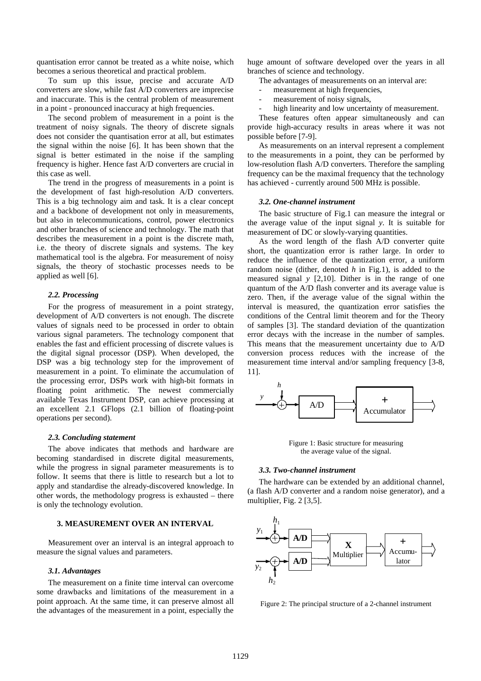quantisation error cannot be treated as a white noise, which becomes a serious theoretical and practical problem.

To sum up this issue, precise and accurate A/D converters are slow, while fast A/D converters are imprecise and inaccurate. This is the central problem of measurement in a point - pronounced inaccuracy at high frequencies.

The second problem of measurement in a point is the treatment of noisy signals. The theory of discrete signals does not consider the quantisation error at all, but estimates the signal within the noise [6]. It has been shown that the signal is better estimated in the noise if the sampling frequency is higher. Hence fast A/D converters are crucial in this case as well.

The trend in the progress of measurements in a point is the development of fast high-resolution A/D converters. This is a big technology aim and task. It is a clear concept and a backbone of development not only in measurements, but also in telecommunications, control, power electronics and other branches of science and technology. The math that describes the measurement in a point is the discrete math, i.e. the theory of discrete signals and systems. The key mathematical tool is the algebra. For measurement of noisy signals, the theory of stochastic processes needs to be applied as well [6].

# *2.2. Processing*

For the progress of measurement in a point strategy, development of A/D converters is not enough. The discrete values of signals need to be processed in order to obtain various signal parameters. The technology component that enables the fast and efficient processing of discrete values is the digital signal processor (DSP). When developed, the DSP was a big technology step for the improvement of measurement in a point. To eliminate the accumulation of the processing error, DSPs work with high-bit formats in floating point arithmetic. The newest commercially available Texas Instrument DSP, can achieve processing at an excellent 2.1 GFlops (2.1 billion of floating-point operations per second).

## *2.3. Concluding statement*

The above indicates that methods and hardware are becoming standardised in discrete digital measurements, while the progress in signal parameter measurements is to follow. It seems that there is little to research but a lot to apply and standardise the already-discovered knowledge. In other words, the methodology progress is exhausted – there is only the technology evolution.

# **3. MEASUREMENT OVER AN INTERVAL**

Measurement over an interval is an integral approach to measure the signal values and parameters.

## *3.1. Advantages*

The measurement on a finite time interval can overcome some drawbacks and limitations of the measurement in a point approach. At the same time, it can preserve almost all the advantages of the measurement in a point, especially the

huge amount of software developed over the years in all branches of science and technology.

The advantages of measurements on an interval are:

- measurement at high frequencies,
- measurement of noisy signals,
- high linearity and low uncertainty of measurement.

These features often appear simultaneously and can provide high-accuracy results in areas where it was not possible before [7-9].

As measurements on an interval represent a complement to the measurements in a point, they can be performed by low-resolution flash A/D converters. Therefore the sampling frequency can be the maximal frequency that the technology has achieved - currently around 500 MHz is possible.

#### *3.2. One-channel instrument*

The basic structure of Fig.1 can measure the integral or the average value of the input signal *y*. It is suitable for measurement of DC or slowly-varying quantities.

As the word length of the flash A/D converter quite short, the quantization error is rather large. In order to reduce the influence of the quantization error, a uniform random noise (dither, denoted *h* in Fig.1), is added to the measured signal *y* [2,10]. Dither is in the range of one quantum of the A/D flash converter and its average value is zero. Then, if the average value of the signal within the interval is measured, the quantization error satisfies the conditions of the Central limit theorem and for the Theory of samples [3]. The standard deviation of the quantization error decays with the increase in the number of samples. This means that the measurement uncertainty due to A/D conversion process reduces with the increase of the measurement time interval and/or sampling frequency [3-8, 11].



Figure 1: Basic structure for measuring the average value of the signal.

#### *3.3. Two-channel instrument*

The hardware can be extended by an additional channel, (a flash A/D converter and a random noise generator), and a multiplier, Fig. 2 [3,5].



Figure 2: The principal structure of a 2-channel instrument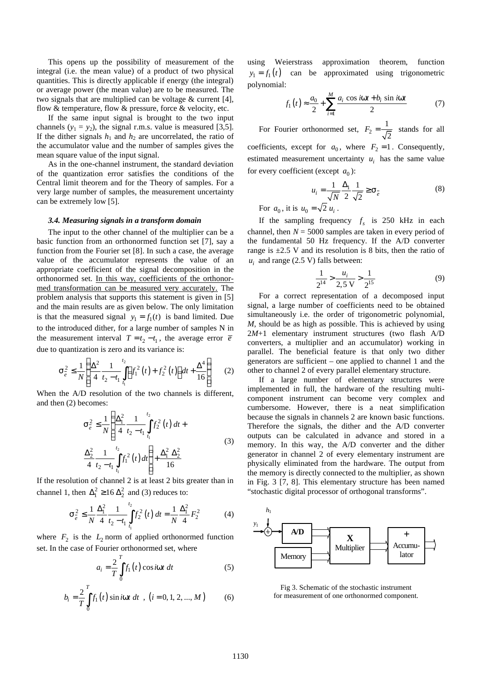This opens up the possibility of measurement of the integral (i.e. the mean value) of a product of two physical quantities. This is directly applicable if energy (the integral) or average power (the mean value) are to be measured. The two signals that are multiplied can be voltage & current [4], flow & temperature, flow & pressure, force & velocity, etc.

If the same input signal is brought to the two input channels  $(y_1 = y_2)$ , the signal r.m.s. value is measured [3,5]. If the dither signals  $h_1$  and  $h_2$  are uncorrelated, the ratio of the accumulator value and the number of samples gives the mean square value of the input signal.

As in the one-channel instrument, the standard deviation of the quantization error satisfies the conditions of the Central limit theorem and for the Theory of samples. For a very large number of samples, the measurement uncertainty can be extremely low [5].

#### *3.4. Measuring signals in a transform domain*

The input to the other channel of the multiplier can be a basic function from an orthonormed function set [7], say a function from the Fourier set [8]. In such a case, the average value of the accumulator represents the value of an appropriate coefficient of the signal decomposition in the orthonormed set. In this way, coefficients of the orthonormed transformation can be measured very accurately. The problem analysis that supports this statement is given in [5] and the main results are as given below. The only limitation is that the measured signal  $y_1 = f_1(t)$  is band limited. Due to the introduced dither, for a large number of samples N in the measurement interval  $T = t_2 - t_1$ , the average error  $\overline{e}$ due to quantization is zero and its variance is:

$$
\mathbf{S}_{e}^{2} \leq \frac{1}{N} \left\{ \frac{\Delta^{2}}{4} \frac{1}{t_{2} - t_{1}} \int_{t_{1}}^{t_{2}} \left[ f_{1}^{2}(t) + f_{2}^{2}(t) \right] dt + \frac{\Delta^{4}}{16} \right\}
$$
(2)

When the A/D resolution of the two channels is different, and then (2) becomes:

$$
\mathbf{S}_{e}^{2} \leq \frac{1}{N} \left\{ \frac{\Delta_{1}^{2}}{4} \frac{1}{t_{2} - t_{1}} \int_{t_{1}}^{t_{2}} f_{2}^{2}(t) dt + \frac{\Delta_{2}^{2}}{4} \frac{1}{t_{2} - t_{1}} \int_{t_{1}}^{t_{2}} f_{1}^{2}(t) dt \right\} + \frac{\Delta_{1}^{2} \Delta_{2}^{2}}{16}
$$
\n(3)

If the resolution of channel 2 is at least 2 bits greater than in channel 1, then  $\Delta_1^2 \ge 16 \Delta_2^2$  and (3) reduces to:

$$
\mathbf{S}_e^2 \le \frac{1}{N} \frac{\Delta_1^2}{4} \frac{1}{t_2 - t_1} \int_{t_1}^{t_2} f_2^2(t) dt = \frac{1}{N} \frac{\Delta_1^2}{4} F_2^2 \tag{4}
$$

where  $F_2$  is the  $L_2$  norm of applied orthonormed function set. In the case of Fourier orthonormed set, where

$$
a_i = \frac{2}{T} \int_0^T f_1(t) \cos i\mathbf{w}t \, dt \tag{5}
$$

$$
b_i = \frac{2}{T} \int_0^T f_1(t) \sin i\mathbf{w}t \, dt \, , \, (i = 0, 1, 2, ..., M) \qquad (6)
$$

using Weierstrass approximation theorem, function  $y_1 = f_1(t)$  can be approximated using trigonometric polynomial:

$$
f_1(t) \approx \frac{a_0}{2} + \sum_{i=1}^{M} \frac{a_i \cos iwt + b_i \sin iwt}{2}
$$
 (7)

For Fourier orthonormed set,  $F_2$ 1 2  $F_2 = \frac{1}{\sqrt{2}}$  stands for all coefficients, except for  $a_0$ , where  $F_2 = 1$ . Consequently, estimated measurement uncertainty  $u_i$  has the same value for every coefficient (except  $a_0$ ):

$$
u_i = \frac{1}{\sqrt{N}} \frac{\Delta_1}{2} \frac{1}{\sqrt{2}} \ge \mathbf{S}_e
$$
 (8)

For  $a_0$ , it is  $u_0 = \sqrt{2} u_i$ .

If the sampling frequency  $f_s$  is 250 kHz in each channel, then  $N = 5000$  samples are taken in every period of the fundamental 50 Hz frequency. If the A/D converter range is  $\pm 2.5$  V and its resolution is 8 bits, then the ratio of  $u_i$  and range (2.5 V) falls between:

$$
\frac{1}{2^{14}} > \frac{u_i}{2.5 \text{ V}} > \frac{1}{2^{15}}\tag{9}
$$

For a correct representation of a decomposed input signal, a large number of coefficients need to be obtained simultaneously i.e. the order of trigonometric polynomial, *M,* should be as high as possible. This is achieved by using 2*M*+1 elementary instrument structures (two flash A/D converters, a multiplier and an accumulator) working in parallel. The beneficial feature is that only two dither generators are sufficient – one applied to channel 1 and the other to channel 2 of every parallel elementary structure.

If a large number of elementary structures were implemented in full, the hardware of the resulting multicomponent instrument can become very complex and cumbersome. However, there is a neat simplification because the signals in channels 2 are known basic functions. Therefore the signals, the dither and the A/D converter outputs can be calculated in advance and stored in a memory. In this way, the A/D converter and the dither generator in channel 2 of every elementary instrument are physically eliminated from the hardware. The output from the memory is directly connected to the multiplier, as shown in Fig. 3 [7, 8]. This elementary structure has been named "stochastic digital processor of orthogonal transforms".



Fig 3. Schematic of the stochastic instrument for measurement of one orthonormed component.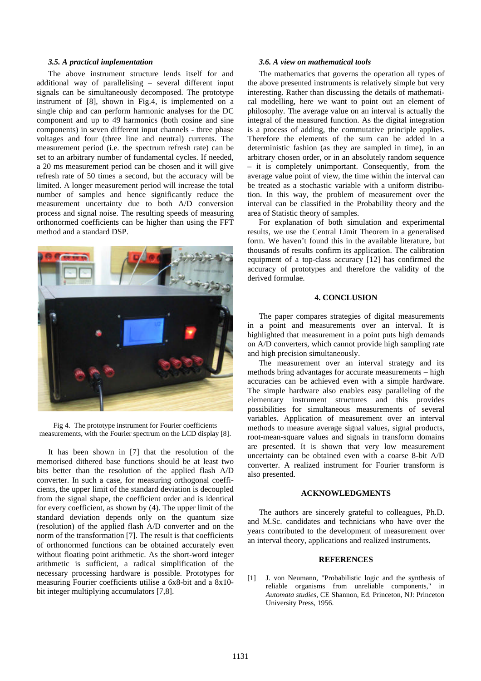# *3.5. A practical implementation*

The above instrument structure lends itself for and additional way of parallelising – several different input signals can be simultaneously decomposed. The prototype instrument of [8], shown in Fig.4, is implemented on a single chip and can perform harmonic analyses for the DC component and up to 49 harmonics (both cosine and sine components) in seven different input channels - three phase voltages and four (three line and neutral) currents. The measurement period (i.e. the spectrum refresh rate) can be set to an arbitrary number of fundamental cycles. If needed, a 20 ms measurement period can be chosen and it will give refresh rate of 50 times a second, but the accuracy will be limited. A longer measurement period will increase the total number of samples and hence significantly reduce the measurement uncertainty due to both A/D conversion process and signal noise. The resulting speeds of measuring orthonormed coefficients can be higher than using the FFT method and a standard DSP.



Fig 4. The prototype instrument for Fourier coefficients measurements, with the Fourier spectrum on the LCD display [8].

It has been shown in [7] that the resolution of the memorised dithered base functions should be at least two bits better than the resolution of the applied flash A/D converter. In such a case, for measuring orthogonal coefficients, the upper limit of the standard deviation is decoupled from the signal shape, the coefficient order and is identical for every coefficient, as shown by (4). The upper limit of the standard deviation depends only on the quantum size (resolution) of the applied flash A/D converter and on the norm of the transformation [7]. The result is that coefficients of orthonormed functions can be obtained accurately even without floating point arithmetic. As the short-word integer arithmetic is sufficient, a radical simplification of the necessary processing hardware is possible. Prototypes for measuring Fourier coefficients utilise a 6x8-bit and a 8x10 bit integer multiplying accumulators [7,8].

## *3.6. A view on mathematical tools*

The mathematics that governs the operation all types of the above presented instruments is relatively simple but very interesting. Rather than discussing the details of mathematical modelling, here we want to point out an element of philosophy. The average value on an interval is actually the integral of the measured function. As the digital integration is a process of adding, the commutative principle applies. Therefore the elements of the sum can be added in a deterministic fashion (as they are sampled in time), in an arbitrary chosen order, or in an absolutely random sequence – it is completely unimportant. Consequently, from the average value point of view, the time within the interval can be treated as a stochastic variable with a uniform distribution. In this way, the problem of measurement over the interval can be classified in the Probability theory and the area of Statistic theory of samples.

For explanation of both simulation and experimental results, we use the Central Limit Theorem in a generalised form. We haven't found this in the available literature, but thousands of results confirm its application. The calibration equipment of a top-class accuracy [12] has confirmed the accuracy of prototypes and therefore the validity of the derived formulae.

## **4. CONCLUSION**

The paper compares strategies of digital measurements in a point and measurements over an interval. It is highlighted that measurement in a point puts high demands on A/D converters, which cannot provide high sampling rate and high precision simultaneously.

The measurement over an interval strategy and its methods bring advantages for accurate measurements – high accuracies can be achieved even with a simple hardware. The simple hardware also enables easy paralleling of the elementary instrument structures and this provides possibilities for simultaneous measurements of several variables. Application of measurement over an interval methods to measure average signal values, signal products, root-mean-square values and signals in transform domains are presented. It is shown that very low measurement uncertainty can be obtained even with a coarse 8-bit A/D converter. A realized instrument for Fourier transform is also presented.

# **ACKNOWLEDGMENTS**

The authors are sincerely grateful to colleagues, Ph.D. and M.Sc. candidates and technicians who have over the years contributed to the development of measurement over an interval theory, applications and realized instruments.

#### **REFERENCES**

[1] J. von Neumann, "Probabilistic logic and the synthesis of reliable organisms from unreliable components," in *Automata studies*, CE Shannon, Ed. Princeton, NJ: Princeton University Press, 1956.